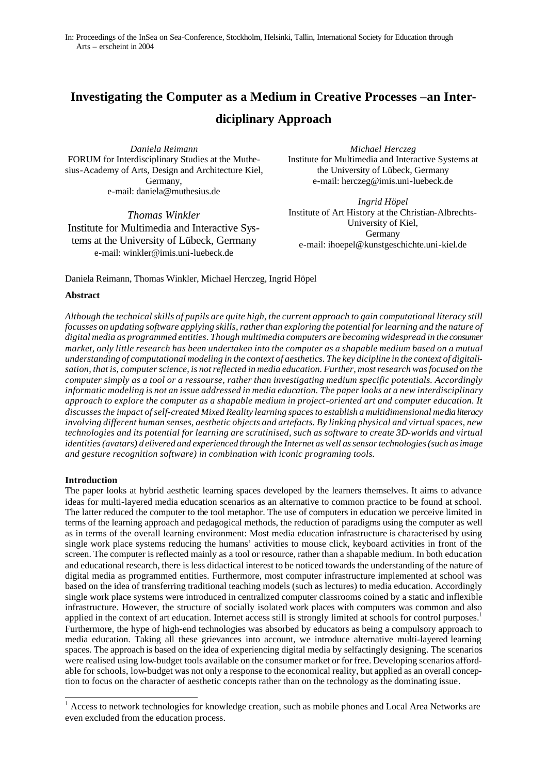# **Investigating the Computer as a Medium in Creative Processes –an Interdiciplinary Approach**

*Daniela Reimann* FORUM for Interdisciplinary Studies at the Muthesius-Academy of Arts, Design and Architecture Kiel, Germany, e-mail: daniela@muthesius.de

*Thomas Winkler* Institute for Multimedia and Interactive Systems at the University of Lübeck, Germany e-mail: winkler@imis.uni-luebeck.de

*Michael Herczeg*  Institute for Multimedia and Interactive Systems at the University of Lübeck, Germany e-mail: herczeg@imis.uni-luebeck.de

*Ingrid Höpel* Institute of Art History at the Christian-Albrechts-University of Kiel, Germany e-mail: ihoepel@kunstgeschichte.uni-kiel.de

# Daniela Reimann, Thomas Winkler, Michael Herczeg, Ingrid Höpel

# **Abstract**

*Although the technical skills of pupils are quite high, the current approach to gain computational literacy still focusses on updating software applying skills, rather than exploring the potential for learning and the nature of digital media as programmed entities. Though multimedia computers are becoming widespread in the consumer market, only little research has been undertaken into the computer as a shapable medium based on a mutual understanding of computational modeling in the context of aesthetics. The key dicipline in the context of digitalisation, that is, computer science, is not reflected in media education. Further, most research was focused on the computer simply as a tool or a ressourse, rather than investigating medium specific potentials. Accordingly informatic modeling is not an issue addressed in media education. The paper looks at a new interdisciplinary approach to explore the computer as a shapable medium in project-oriented art and computer education. It discusses the impact of self-created Mixed Reality learning spaces to establish a multidimensional media literacy involving different human senses, aesthetic objects and artefacts. By linking physical and virtual spaces, new technologies and its potential for learning are scrutinised, such as software to create 3D-worlds and virtual identities (avatars) d elivered and experienced through the Internet as well as sensor technologies (such as image and gesture recognition software) in combination with iconic programing tools.* 

# **Introduction**

The paper looks at hybrid aesthetic learning spaces developed by the learners themselves. It aims to advance ideas for multi-layered media education scenarios as an alternative to common practice to be found at school. The latter reduced the computer to the tool metaphor. The use of computers in education we perceive limited in terms of the learning approach and pedagogical methods, the reduction of paradigms using the computer as well as in terms of the overall learning environment: Most media education infrastructure is characterised by using single work place systems reducing the humans' activities to mouse click, keyboard activities in front of the screen. The computer is reflected mainly as a tool or resource, rather than a shapable medium. In both education and educational research, there is less didactical interest to be noticed towards the understanding of the nature of digital media as programmed entities. Furthermore, most computer infrastructure implemented at school was based on the idea of transferring traditional teaching models (such as lectures) to media education. Accordingly single work place systems were introduced in centralized computer classrooms coined by a static and inflexible infrastructure. However, the structure of socially isolated work places with computers was common and also applied in the context of art education. Internet access still is strongly limited at schools for control purposes.<sup>1</sup> Furthermore, the hype of high-end technologies was absorbed by educators as being a compulsory approach to media education. Taking all these grievances into account, we introduce alternative multi-layered learning spaces. The approach is based on the idea of experiencing digital media by selfactingly designing. The scenarios were realised using low-budget tools available on the consumer market or for free. Developing scenarios affordable for schools, low-budget was not only a response to the economical reality, but applied as an overall conception to focus on the character of aesthetic concepts rather than on the technology as the dominating issue.

<sup>&</sup>lt;sup>1</sup> Access to network technologies for knowledge creation, such as mobile phones and Local Area Networks are even excluded from the education process.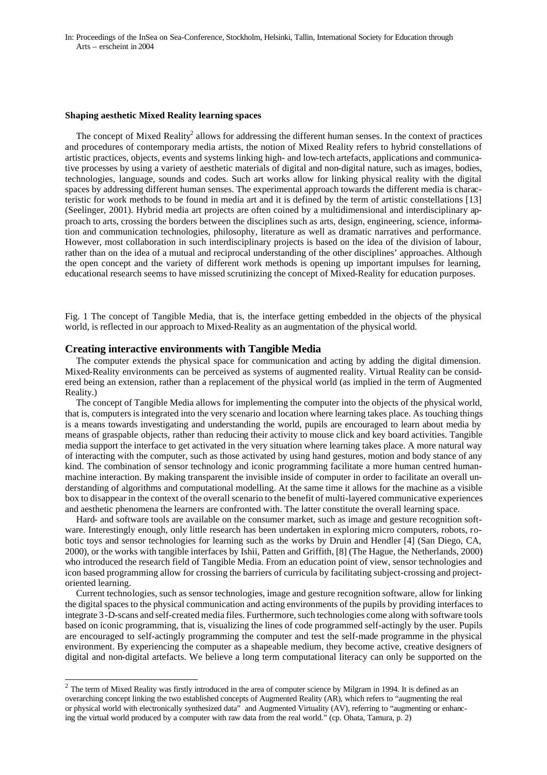#### **Shaping aesthetic Mixed Reality learning spaces**

The concept of Mixed Reality<sup>2</sup> allows for addressing the different human senses. In the context of practices and procedures of contemporary media artists, the notion of Mixed Reality refers to hybrid constellations of artistic practices, objects, events and systems linking high- and low-tech artefacts, applications and communicative processes by using a variety of aesthetic materials of digital and non-digital nature, such as images, bodies, technologies, language, sounds and codes. Such art works allow for linking physical reality with the digital spaces by addressing different human senses. The experimental approach towards the different media is characteristic for work methods to be found in media art and it is defined by the term of artistic constellations [13] (Seelinger, 2001). Hybrid media art projects are often coined by a multidimensional and interdisciplinary approach to arts, crossing the borders between the disciplines such as arts, design, engineering, science, information and communication technologies, philosophy, literature as well as dramatic narratives and performance. However, most collaboration in such interdisciplinary projects is based on the idea of the division of labour, rather than on the idea of a mutual and reciprocal understanding of the other disciplines' approaches. Although the open concept and the variety of different work methods is opening up important impulses for learning, educational research seems to have missed scrutinizing the concept of Mixed-Reality for education purposes.

Fig. 1 The concept of Tangible Media, that is, the interface getting embedded in the objects of the physical world, is reflected in our approach to Mixed-Reality as an augmentation of the physical world.

# **Creating interactive environments with Tangible Media**

l

The computer extends the physical space for communication and acting by adding the digital dimension. Mixed-Reality environments can be perceived as systems of augmented reality. Virtual Reality can be considered being an extension, rather than a replacement of the physical world (as implied in the term of Augmented Reality.)

The concept of Tangible Media allows for implementing the computer into the objects of the physical world, that is, computers is integrated into the very scenario and location where learning takes place. As touching things is a means towards investigating and understanding the world, pupils are encouraged to learn about media by means of graspable objects, rather than reducing their activity to mouse click and key board activities. Tangible media support the interface to get activated in the very situation where learning takes place. A more natural way of interacting with the computer, such as those activated by using hand gestures, motion and body stance of any kind. The combination of sensor technology and iconic programming facilitate a more human centred humanmachine interaction. By making transparent the invisible inside of computer in order to facilitate an overall understanding of algorithms and computational modelling. At the same time it allows for the machine as a visible box to disappear in the context of the overall scenario to the benefit of multi-layered communicative experiences and aesthetic phenomena the learners are confronted with. The latter constitute the overall learning space.

Hard- and software tools are available on the consumer market, such as image and gesture recognition software. Interestingly enough, only little research has been undertaken in exploring micro computers, robots, robotic toys and sensor technologies for learning such as the works by Druin and Hendler [4] (San Diego, CA, 2000), or the works with tangible interfaces by Ishii, Patten and Griffith, [8] (The Hague, the Netherlands, 2000) who introduced the research field of Tangible Media. From an education point of view, sensor technologies and icon based programming allow for crossing the barriers of curricula by facilitating subject-crossing and projectoriented learning.

Current technologies, such as sensor technologies, image and gesture recognition software, allow for linking the digital spaces to the physical communication and acting environments of the pupils by providing interfaces to integrate 3-D-scans and self-created media files. Furthermore, such technologies come along with software tools based on iconic programming, that is, visualizing the lines of code programmed self-actingly by the user. Pupils are encouraged to self-actingly programming the computer and test the self-made programme in the physical environment. By experiencing the computer as a shapeable medium, they become active, creative designers of digital and non-digital artefacts. We believe a long term computational literacy can only be supported on the

 $2$  The term of Mixed Reality was firstly introduced in the area of computer science by Milgram in 1994. It is defined as an overarching concept linking the two established concepts of Augmented Reality (AR), which refers to "augmenting the real or physical world with electronically synthesized data" and Augmented Virtuality (AV), referring to "augmenting or enhancing the virtual world produced by a computer with raw data from the real world." (cp. Ohata, Tamura, p. 2)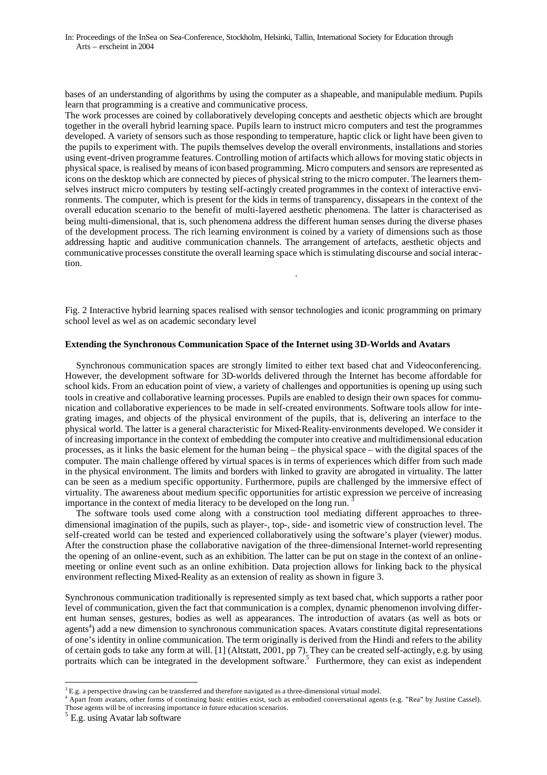bases of an understanding of algorithms by using the computer as a shapeable, and manipulable medium. Pupils learn that programming is a creative and communicative process.

The work processes are coined by collaboratively developing concepts and aesthetic objects which are brought together in the overall hybrid learning space. Pupils learn to instruct micro computers and test the programmes developed. A variety of sensors such as those responding to temperature, haptic click or light have been given to the pupils to experiment with. The pupils themselves develop the overall environments, installations and stories using event-driven programme features. Controlling motion of artifacts which allows for moving static objects in physical space, is realised by means of icon based programming. Micro computers and sensors are represented as icons on the desktop which are connected by pieces of physical string to the micro computer. The learners themselves instruct micro computers by testing self-actingly created programmes in the context of interactive environments. The computer, which is present for the kids in terms of transparency, dissapears in the context of the overall education scenario to the benefit of multi-layered aesthetic phenomena. The latter is characterised as being multi-dimensional, that is, such phenomena address the different human senses during the diverse phases of the development process. The rich learning environment is coined by a variety of dimensions such as those addressing haptic and auditive communication channels. The arrangement of artefacts, aesthetic objects and communicative processes constitute the overall learning space which is stimulating discourse and social interaction.

Fig. 2 Interactive hybrid learning spaces realised with sensor technologies and iconic programming on primary school level as wel as on academic secondary level

.

#### **Extending the Synchronous Communication Space of the Internet using 3D-Worlds and Avatars**

Synchronous communication spaces are strongly limited to either text based chat and Videoconferencing. However, the development software for 3D-worlds delivered through the Internet has become affordable for school kids. From an education point of view, a variety of challenges and opportunities is opening up using such tools in creative and collaborative learning processes. Pupils are enabled to design their own spaces for communication and collaborative experiences to be made in self-created environments. Software tools allow for integrating images, and objects of the physical environment of the pupils, that is, delivering an interface to the physical world. The latter is a general characteristic for Mixed-Reality-environments developed. We consider it of increasing importance in the context of embedding the computer into creative and multidimensional education processes, as it links the basic element for the human being – the physical space – with the digital spaces of the computer. The main challenge offered by virtual spaces is in terms of experiences which differ from such made in the physical environment. The limits and borders with linked to gravity are abrogated in virtuality. The latter can be seen as a medium specific opportunity. Furthermore, pupils are challenged by the immersive effect of virtuality. The awareness about medium specific opportunities for artistic expression we perceive of increasing importance in the context of media literacy to be developed on the long run. <sup>3</sup>

The software tools used come along with a construction tool mediating different approaches to threedimensional imagination of the pupils, such as player-, top-, side- and isometric view of construction level. The self-created world can be tested and experienced collaboratively using the software's player (viewer) modus. After the construction phase the collaborative navigation of the three-dimensional Internet-world representing the opening of an online-event, such as an exhibition. The latter can be put on stage in the context of an onlinemeeting or online event such as an online exhibition. Data projection allows for linking back to the physical environment reflecting Mixed-Reality as an extension of reality as shown in figure 3.

Synchronous communication traditionally is represented simply as text based chat, which supports a rather poor level of communication, given the fact that communication is a complex, dynamic phenomenon involving different human senses, gestures, bodies as well as appearances. The introduction of avatars (as well as bots or agents<sup>4</sup>) add a new dimension to synchronous communication spaces. Avatars constitute digital representations of one's identity in online communication. The term originally is derived from the Hindi and refers to the ability of certain gods to take any form at will. [1] (Altstatt, 2001, pp 7). They can be created self-actingly, e.g. by using portraits which can be integrated in the development software.<sup>5</sup> Furthermore, they can exist as independent

l

 $3$  E.g. a perspective drawing can be transferred and therefore navigated as a three-dimensional virtual model.

<sup>4</sup> Apart from avatars, other forms of continuing basic entities exist, such as embodied conversational agents (e.g. "Rea" by Justine Cassel). Those agents will be of increasing importance in future education scenarios.

<sup>&</sup>lt;sup>5</sup> E.g. using Avatar lab software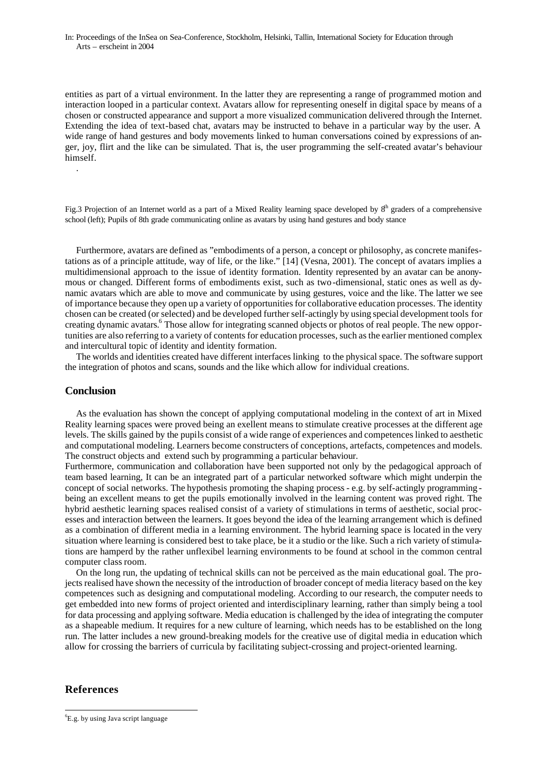entities as part of a virtual environment. In the latter they are representing a range of programmed motion and interaction looped in a particular context. Avatars allow for representing oneself in digital space by means of a chosen or constructed appearance and support a more visualized communication delivered through the Internet. Extending the idea of text-based chat, avatars may be instructed to behave in a particular way by the user. A wide range of hand gestures and body movements linked to human conversations coined by expressions of anger, joy, flirt and the like can be simulated. That is, the user programming the self-created avatar's behaviour himself.

Fig.3 Projection of an Internet world as a part of a Mixed Reality learning space developed by  $8<sup>th</sup>$  graders of a comprehensive school (left); Pupils of 8th grade communicating online as avatars by using hand gestures and body stance

Furthermore, avatars are defined as "embodiments of a person, a concept or philosophy, as concrete manifestations as of a principle attitude, way of life, or the like." [14] (Vesna, 2001). The concept of avatars implies a multidimensional approach to the issue of identity formation. Identity represented by an avatar can be anonymous or changed. Different forms of embodiments exist, such as two-dimensional, static ones as well as dynamic avatars which are able to move and communicate by using gestures, voice and the like. The latter we see of importance because they open up a variety of opportunities for collaborative education processes. The identity chosen can be created (or selected) and be developed further self-actingly by using special development tools for creating dynamic avatars.<sup>6</sup> Those allow for integrating scanned objects or photos of real people. The new opportunities are also referring to a variety of contents for education processes, such as the earlier mentioned complex and intercultural topic of identity and identity formation.

The worlds and identities created have different interfaces linking to the physical space. The software support the integration of photos and scans, sounds and the like which allow for individual creations.

# **Conclusion**

.

As the evaluation has shown the concept of applying computational modeling in the context of art in Mixed Reality learning spaces were proved being an exellent means to stimulate creative processes at the different age levels. The skills gained by the pupils consist of a wide range of experiences and competences linked to aesthetic and computational modeling. Learners become constructers of conceptions, artefacts, competences and models. The construct objects and extend such by programming a particular behaviour.

Furthermore, communication and collaboration have been supported not only by the pedagogical approach of team based learning, It can be an integrated part of a particular networked software which might underpin the concept of social networks. The hypothesis promoting the shaping process - e.g. by self-actingly programming being an excellent means to get the pupils emotionally involved in the learning content was proved right. The hybrid aesthetic learning spaces realised consist of a variety of stimulations in terms of aesthetic, social processes and interaction between the learners. It goes beyond the idea of the learning arrangement which is defined as a combination of different media in a learning environment. The hybrid learning space is located in the very situation where learning is considered best to take place, be it a studio or the like. Such a rich variety of stimulations are hamperd by the rather unflexibel learning environments to be found at school in the common central computer class room.

On the long run, the updating of technical skills can not be perceived as the main educational goal. The projects realised have shown the necessity of the introduction of broader concept of media literacy based on the key competences such as designing and computational modeling. According to our research, the computer needs to get embedded into new forms of project oriented and interdisciplinary learning, rather than simply being a tool for data processing and applying software. Media education is challenged by the idea of integrating the computer as a shapeable medium. It requires for a new culture of learning, which needs has to be established on the long run. The latter includes a new ground-breaking models for the creative use of digital media in education which allow for crossing the barriers of curricula by facilitating subject-crossing and project-oriented learning.

# **References**

l

<sup>6</sup> E.g. by using Java script language